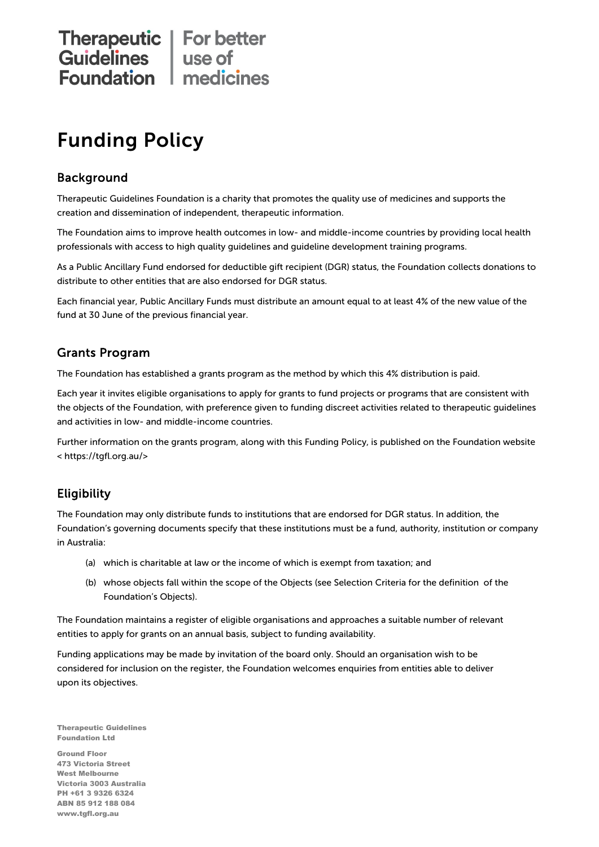# Therapeutic | For better<br>
Guidelines | use of<br>
Foundation | medicines

# Funding Policy

#### **Background**

Therapeutic Guidelines Foundation is a charity that promotes the quality use of medicines and supports the creation and dissemination of independent, therapeutic information.

The Foundation aims to improve health outcomes in low- and middle-income countries by providing local health professionals with access to high quality guidelines and guideline development training programs.

As a Public Ancillary Fund endorsed for deductible gift recipient (DGR) status, the Foundation collects donations to distribute to other entities that are also endorsed for DGR status.

Each financial year, Public Ancillary Funds must distribute an amount equal to at least 4% of the new value of the fund at 30 June of the previous financial year.

#### Grants Program

The Foundation has established a grants program as the method by which this 4% distribution is paid.

Each year it invites eligible organisations to apply for grants to fund projects or programs that are consistent with the objects of the Foundation, with preference given to funding discreet activities related to therapeutic guidelines and activities in low- and middle-income countries.

Further information on the grants program, along with this Funding Policy, is published on the Foundation website < https://tgfl.org.au/>

#### **Eligibility**

The Foundation may only distribute funds to institutions that are endorsed for DGR status. In addition, the Foundation's governing documents specify that these institutions must be a fund, authority, institution or company in Australia:

- (a) which is charitable at law or the income of which is exempt from taxation; and
- (b) whose objects fall within the scope of the Objects (see Selection Criteria for the definition of the Foundation's Objects).

The Foundation maintains a register of eligible organisations and approaches a suitable number of relevant entities to apply for grants on an annual basis, subject to funding availability.

Funding applications may be made by invitation of the board only. Should an organisation wish to be considered for inclusion on the register, the Foundation welcomes enquiries from entities able to deliver upon its objectives.

Therapeutic Guidelines Foundation Ltd

Ground Floor 473 Victoria Street West Melbourne Victoria 3003 Australia PH +61 3 9326 6324 ABN 85 912 188 084 www.tgfl.org.au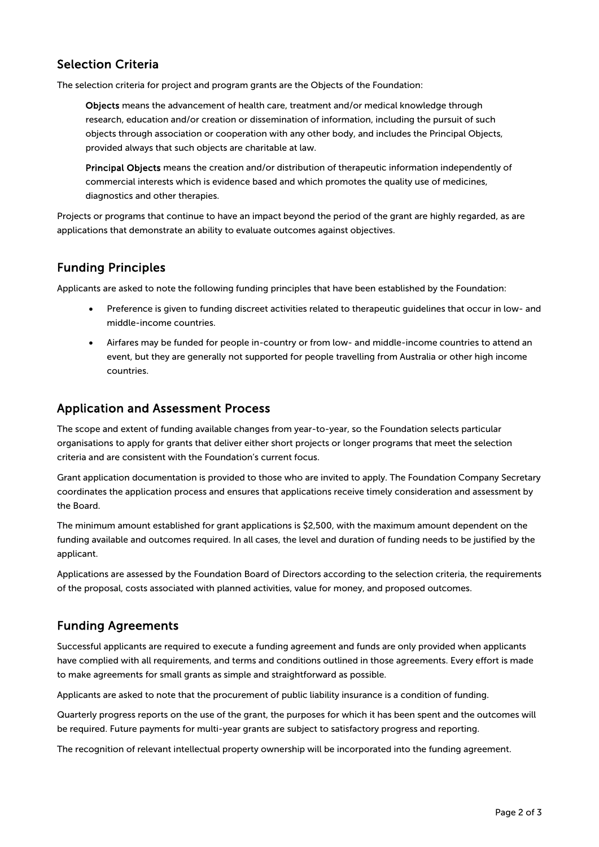#### Selection Criteria

The selection criteria for project and program grants are the Objects of the Foundation:

Objects means the advancement of health care, treatment and/or medical knowledge through research, education and/or creation or dissemination of information, including the pursuit of such objects through association or cooperation with any other body, and includes the Principal Objects, provided always that such objects are charitable at law.

Principal Objects means the creation and/or distribution of therapeutic information independently of commercial interests which is evidence based and which promotes the quality use of medicines, diagnostics and other therapies.

Projects or programs that continue to have an impact beyond the period of the grant are highly regarded, as are applications that demonstrate an ability to evaluate outcomes against objectives.

## Funding Principles

Applicants are asked to note the following funding principles that have been established by the Foundation:

- Preference is given to funding discreet activities related to therapeutic guidelines that occur in low- and middle-income countries.
- Airfares may be funded for people in-country or from low- and middle-income countries to attend an event, but they are generally not supported for people travelling from Australia or other high income countries.

#### Application and Assessment Process

The scope and extent of funding available changes from year-to-year, so the Foundation selects particular organisations to apply for grants that deliver either short projects or longer programs that meet the selection criteria and are consistent with the Foundation's current focus.

Grant application documentation is provided to those who are invited to apply. The Foundation Company Secretary coordinates the application process and ensures that applications receive timely consideration and assessment by the Board.

The minimum amount established for grant applications is \$2,500, with the maximum amount dependent on the funding available and outcomes required. In all cases, the level and duration of funding needs to be justified by the applicant.

Applications are assessed by the Foundation Board of Directors according to the selection criteria, the requirements of the proposal, costs associated with planned activities, value for money, and proposed outcomes.

#### Funding Agreements

Successful applicants are required to execute a funding agreement and funds are only provided when applicants have complied with all requirements, and terms and conditions outlined in those agreements. Every effort is made to make agreements for small grants as simple and straightforward as possible.

Applicants are asked to note that the procurement of public liability insurance is a condition of funding.

Quarterly progress reports on the use of the grant, the purposes for which it has been spent and the outcomes will be required. Future payments for multi-year grants are subject to satisfactory progress and reporting.

The recognition of relevant intellectual property ownership will be incorporated into the funding agreement.